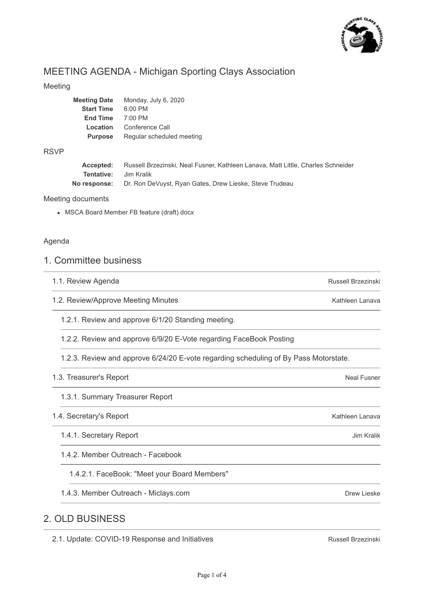

# MEETING AGENDA - Michigan Sporting Clays Association

## Meeting

| <b>Meeting Date</b> | Monday, July 6, 2020      |
|---------------------|---------------------------|
| <b>Start Time</b>   | $6:00$ PM                 |
| <b>End Time</b>     | $7:00$ PM                 |
| Location            | Conference Call           |
| <b>Purpose</b>      | Regular scheduled meeting |
|                     |                           |

## RSVP

| Accepted:                    | Russell Brzezinski, Neal Fusner, Kathleen Lanava, Matt Little, Charles Schneider |
|------------------------------|----------------------------------------------------------------------------------|
| <b>Tentative:</b> Jim Kralik |                                                                                  |
|                              | No response: Dr. Ron DeVuyst, Ryan Gates, Drew Lieske, Steve Trudeau             |

### Meeting documents

MSCA Board Member FB feature (draft).docx

## Agenda

## 1. Committee business

- 1.1. Review Agenda
- 1.2. Review/Approve Meeting Minutes
	- 1.2.1. Review and approve 6/1/20 Standing meeting.
	- 1.2.2. Review and approve 6/9/20 E-Vote regarding FaceBook Posting

1.2.3. Review and approve 6/24/20 E-vote regarding scheduling of By Pass Motorstate.

## 1.3. Treasurer's Report

1.3.1. Summary Treasurer Report

## 1.4. Secretary's Report

- 1.4.1. Secretary Report
- 1.4.2. Member Outreach Facebook

1.4.2.1. FaceBook: "Meet your Board Members"

1.4.3. Member Outreach - Miclays.com

## 2. OLD BUSINESS

2.1. Update: COVID-19 Response and Initiatives

Russell Brzezinski

Neal Fusner

Russell Brzezinski

Kathleen Lanava

Kathleen Lanava

Jim Kralik

Drew Lieske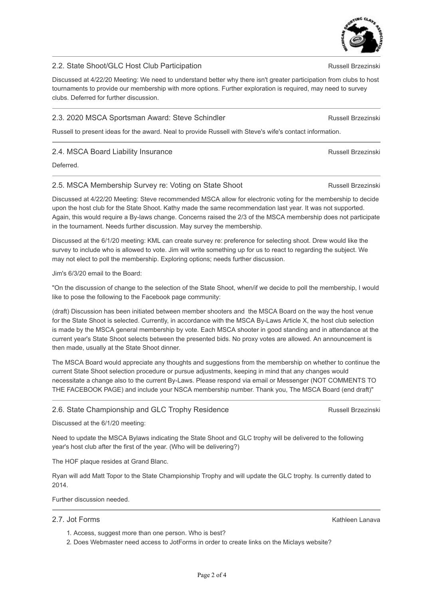## 2.2. State Shoot/GLC Host Club Participation

Discussed at 4/22/20 Meeting: We need to understand better why there isn't greater participation from clubs to host tournaments to provide our membership with more options. Further exploration is required, may need to survey clubs. Deferred for further discussion.

### 2.3. 2020 MSCA Sportsman Award: Steve Schindler

Russell to present ideas for the award. Neal to provide Russell with Steve's wife's contact information.

### 2.4. MSCA Board Liability Insurance

Deferred.

#### 2.5. MSCA Membership Survey re: Voting on State Shoot

Discussed at 4/22/20 Meeting: Steve recommended MSCA allow for electronic voting for the membership to decide upon the host club for the State Shoot. Kathy made the same recommendation last year. It was not supported. Again, this would require a By-laws change. Concerns raised the 2/3 of the MSCA membership does not participate in the tournament. Needs further discussion. May survey the membership.

Discussed at the 6/1/20 meeting: KML can create survey re: preference for selecting shoot. Drew would like the survey to include who is allowed to vote. Jim will write something up for us to react to regarding the subject. We may not elect to poll the membership. Exploring options; needs further discussion.

#### Jim's 6/3/20 email to the Board:

"On the discussion of change to the selection of the State Shoot, when/if we decide to poll the membership, I would like to pose the following to the Facebook page community:

(draft) Discussion has been initiated between member shooters and the MSCA Board on the way the host venue for the State Shoot is selected. Currently, in accordance with the MSCA By-Laws Article X, the host club selection is made by the MSCA general membership by vote. Each MSCA shooter in good standing and in attendance at the current year's State Shoot selects between the presented bids. No proxy votes are allowed. An announcement is then made, usually at the State Shoot dinner.

The MSCA Board would appreciate any thoughts and suggestions from the membership on whether to continue the current State Shoot selection procedure or pursue adjustments, keeping in mind that any changes would necessitate a change also to the current By-Laws. Please respond via email or Messenger (NOT COMMENTS TO THE FACEBOOK PAGE) and include your NSCA membership number. Thank you, The MSCA Board (end draft)"

### 2.6. State Championship and GLC Trophy Residence

Discussed at the 6/1/20 meeting:

Need to update the MSCA Bylaws indicating the State Shoot and GLC trophy will be delivered to the following year's host club after the first of the year. (Who will be delivering?)

The HOF plaque resides at Grand Blanc.

Ryan will add Matt Topor to the State Championship Trophy and will update the GLC trophy. Is currently dated to 2014.

Further discussion needed.

#### 2.7. Jot Forms

- 1. Access, suggest more than one person. Who is best?
- 2. Does Webmaster need access to JotForms in order to create links on the Miclays website?

Kathleen Lanava



Russell Brzezinski

Russell Brzezinski

Russell Brzezinski

Russell Brzezinski

Russell Brzezinski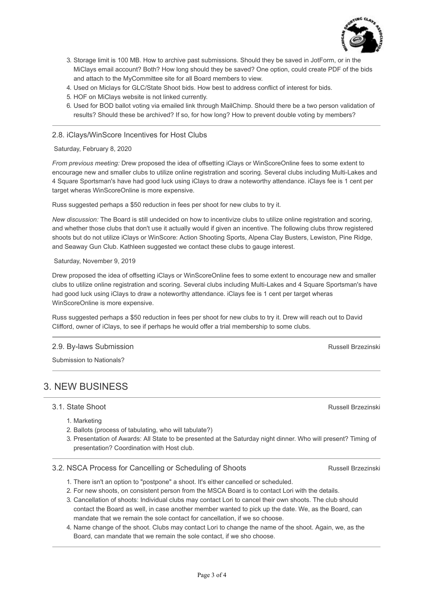

- 3. Storage limit is 100 MB. How to archive past submissions. Should they be saved in JotForm, or in the MiClays email account? Both? How long should they be saved? One option, could create PDF of the bids and attach to the MyCommittee site for all Board members to view.
- 4. Used on Miclays for GLC/State Shoot bids. How best to address conflict of interest for bids.
- 5. HOF on MiClays website is not linked currently.
- 6. Used for BOD ballot voting via emailed link through MailChimp. Should there be a two person validation of results? Should these be archived? If so, for how long? How to prevent double voting by members?

#### 2.8. iClays/WinScore Incentives for Host Clubs

Saturday, February 8, 2020

*From previous meeting:* Drew proposed the idea of offsetting iClays or WinScoreOnline fees to some extent to encourage new and smaller clubs to utilize online registration and scoring. Several clubs including Multi-Lakes and 4 Square Sportsman's have had good luck using iClays to draw a noteworthy attendance. iClays fee is 1 cent per target wheras WinScoreOnline is more expensive.

Russ suggested perhaps a \$50 reduction in fees per shoot for new clubs to try it.

*New discussion:* The Board is still undecided on how to incentivize clubs to utilize online registration and scoring, and whether those clubs that don't use it actually would if given an incentive. The following clubs throw registered shoots but do not utilize iClays or WinScore: Action Shooting Sports, Alpena Clay Busters, Lewiston, Pine Ridge, and Seaway Gun Club. Kathleen suggested we contact these clubs to gauge interest.

#### Saturday, November 9, 2019

Drew proposed the idea of offsetting iClays or WinScoreOnline fees to some extent to encourage new and smaller clubs to utilize online registration and scoring. Several clubs including Multi-Lakes and 4 Square Sportsman's have had good luck using iClays to draw a noteworthy attendance. iClays fee is 1 cent per target wheras WinScoreOnline is more expensive.

Russ suggested perhaps a \$50 reduction in fees per shoot for new clubs to try it. Drew will reach out to David Clifford, owner of iClays, to see if perhaps he would offer a trial membership to some clubs.

#### 2.9. By-laws Submission

Submission to Nationals?

## 3. NEW BUSINESS

3.1. State Shoot

- 1. Marketing
- 2. Ballots (process of tabulating, who will tabulate?)
- 3. Presentation of Awards: All State to be presented at the Saturday night dinner. Who will present? Timing of presentation? Coordination with Host club.

#### 3.2. NSCA Process for Cancelling or Scheduling of Shoots

- 1. There isn't an option to "postpone" a shoot. It's either cancelled or scheduled.
- 2. For new shoots, on consistent person from the MSCA Board is to contact Lori with the details.
- 3. Cancellation of shoots: Individual clubs may contact Lori to cancel their own shoots. The club should contact the Board as well, in case another member wanted to pick up the date. We, as the Board, can mandate that we remain the sole contact for cancellation, if we so choose.
- 4. Name change of the shoot. Clubs may contact Lori to change the name of the shoot. Again, we, as the Board, can mandate that we remain the sole contact, if we sho choose.

Russell Brzezinski

Russell Brzezinski

Russell Brzezinski